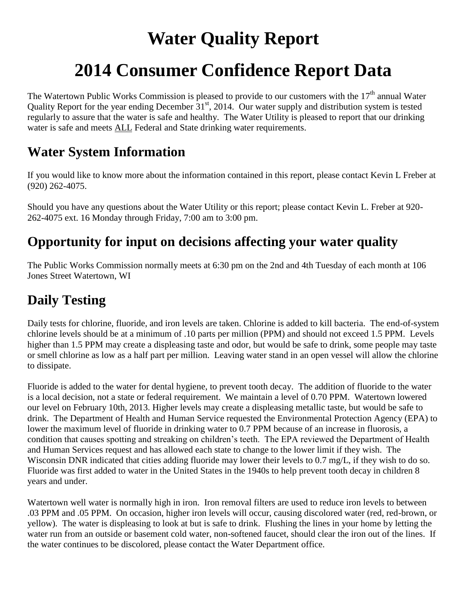# **Water Quality Report**

# **2014 Consumer Confidence Report Data**

The Watertown Public Works Commission is pleased to provide to our customers with the  $17<sup>th</sup>$  annual Water Quality Report for the year ending December  $31<sup>st</sup>$ , 2014. Our water supply and distribution system is tested regularly to assure that the water is safe and healthy. The Water Utility is pleased to report that our drinking water is safe and meets ALL Federal and State drinking water requirements.

### **Water System Information**

If you would like to know more about the information contained in this report, please contact Kevin L Freber at (920) 262-4075.

Should you have any questions about the Water Utility or this report; please contact Kevin L. Freber at 920- 262-4075 ext. 16 Monday through Friday, 7:00 am to 3:00 pm.

### **Opportunity for input on decisions affecting your water quality**

The Public Works Commission normally meets at 6:30 pm on the 2nd and 4th Tuesday of each month at 106 Jones Street Watertown, WI

## **Daily Testing**

Daily tests for chlorine, fluoride, and iron levels are taken. Chlorine is added to kill bacteria. The end-of-system chlorine levels should be at a minimum of .10 parts per million (PPM) and should not exceed 1.5 PPM. Levels higher than 1.5 PPM may create a displeasing taste and odor, but would be safe to drink, some people may taste or smell chlorine as low as a half part per million. Leaving water stand in an open vessel will allow the chlorine to dissipate.

Fluoride is added to the water for dental hygiene, to prevent tooth decay. The addition of fluoride to the water is a local decision, not a state or federal requirement. We maintain a level of 0.70 PPM. Watertown lowered our level on February 10th, 2013. Higher levels may create a displeasing metallic taste, but would be safe to drink. The Department of Health and Human Service requested the Environmental Protection Agency (EPA) to lower the maximum level of fluoride in drinking water to 0.7 PPM because of an increase in fluorosis, a condition that causes spotting and streaking on children's teeth. The EPA reviewed the Department of Health and Human Services request and has allowed each state to change to the lower limit if they wish. The Wisconsin DNR indicated that cities adding fluoride may lower their levels to 0.7 mg/L, if they wish to do so. Fluoride was first added to water in the United States in the 1940s to help prevent tooth decay in children 8 years and under.

Watertown well water is normally high in iron. Iron removal filters are used to reduce iron levels to between .03 PPM and .05 PPM. On occasion, higher iron levels will occur, causing discolored water (red, red-brown, or yellow). The water is displeasing to look at but is safe to drink. Flushing the lines in your home by letting the water run from an outside or basement cold water, non-softened faucet, should clear the iron out of the lines. If the water continues to be discolored, please contact the Water Department office.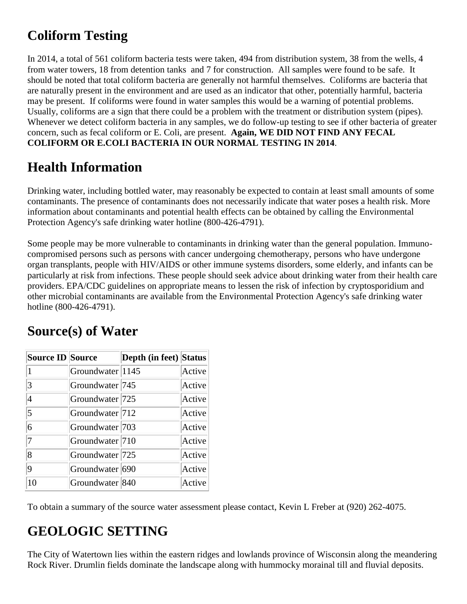## **Coliform Testing**

In 2014, a total of 561 coliform bacteria tests were taken, 494 from distribution system, 38 from the wells, 4 from water towers, 18 from detention tanks and 7 for construction. All samples were found to be safe. It should be noted that total coliform bacteria are generally not harmful themselves. Coliforms are bacteria that are naturally present in the environment and are used as an indicator that other, potentially harmful, bacteria may be present. If coliforms were found in water samples this would be a warning of potential problems. Usually, coliforms are a sign that there could be a problem with the treatment or distribution system (pipes). Whenever we detect coliform bacteria in any samples, we do follow-up testing to see if other bacteria of greater concern, such as fecal coliform or E. Coli, are present. **Again, WE DID NOT FIND ANY FECAL COLIFORM OR E.COLI BACTERIA IN OUR NORMAL TESTING IN 2014**.

#### **Health Information**

Drinking water, including bottled water, may reasonably be expected to contain at least small amounts of some contaminants. The presence of contaminants does not necessarily indicate that water poses a health risk. More information about contaminants and potential health effects can be obtained by calling the Environmental Protection Agency's safe drinking water hotline (800-426-4791).

Some people may be more vulnerable to contaminants in drinking water than the general population. Immunocompromised persons such as persons with cancer undergoing chemotherapy, persons who have undergone organ transplants, people with HIV/AIDS or other immune systems disorders, some elderly, and infants can be particularly at risk from infections. These people should seek advice about drinking water from their health care providers. EPA/CDC guidelines on appropriate means to lessen the risk of infection by cryptosporidium and other microbial contaminants are available from the Environmental Protection Agency's safe drinking water hotline (800-426-4791).

| <b>Source ID Source</b> |                            | <b>Depth (in feet)</b> Status |        |
|-------------------------|----------------------------|-------------------------------|--------|
|                         | Groundwater 1145           |                               | Active |
| 3                       | Groundwater <sup>745</sup> |                               | Active |
| 4                       | Groundwater 725            |                               | Active |
| $\overline{5}$          | Groundwater 712            |                               | Active |
| 6                       | Groundwater 703            |                               | Active |
| 7                       | Groundwater 710            |                               | Active |
| 8                       | Groundwater 725            |                               | Active |
| 9                       | Groundwater 690            |                               | Active |
| 10                      | Groundwater 840            |                               | Active |

### **Source(s) of Water**

To obtain a summary of the source water assessment please contact, Kevin L Freber at (920) 262-4075.

### **GEOLOGIC SETTING**

The City of Watertown lies within the eastern ridges and lowlands province of Wisconsin along the meandering Rock River. Drumlin fields dominate the landscape along with hummocky morainal till and fluvial deposits.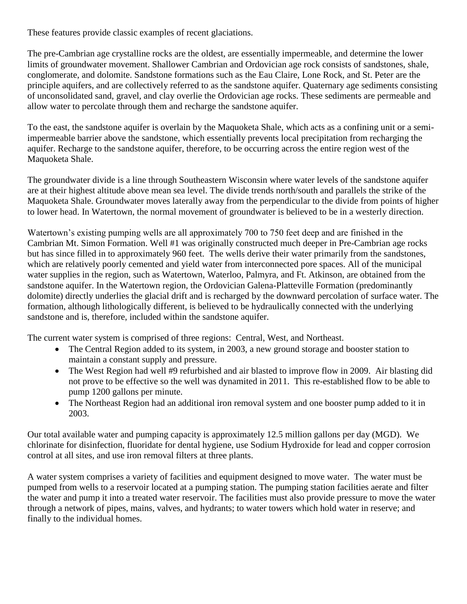These features provide classic examples of recent glaciations.

The pre-Cambrian age crystalline rocks are the oldest, are essentially impermeable, and determine the lower limits of groundwater movement. Shallower Cambrian and Ordovician age rock consists of sandstones, shale, conglomerate, and dolomite. Sandstone formations such as the Eau Claire, Lone Rock, and St. Peter are the principle aquifers, and are collectively referred to as the sandstone aquifer. Quaternary age sediments consisting of unconsolidated sand, gravel, and clay overlie the Ordovician age rocks. These sediments are permeable and allow water to percolate through them and recharge the sandstone aquifer.

To the east, the sandstone aquifer is overlain by the Maquoketa Shale, which acts as a confining unit or a semiimpermeable barrier above the sandstone, which essentially prevents local precipitation from recharging the aquifer. Recharge to the sandstone aquifer, therefore, to be occurring across the entire region west of the Maquoketa Shale.

The groundwater divide is a line through Southeastern Wisconsin where water levels of the sandstone aquifer are at their highest altitude above mean sea level. The divide trends north/south and parallels the strike of the Maquoketa Shale. Groundwater moves laterally away from the perpendicular to the divide from points of higher to lower head. In Watertown, the normal movement of groundwater is believed to be in a westerly direction.

Watertown's existing pumping wells are all approximately 700 to 750 feet deep and are finished in the Cambrian Mt. Simon Formation. Well #1 was originally constructed much deeper in Pre-Cambrian age rocks but has since filled in to approximately 960 feet. The wells derive their water primarily from the sandstones, which are relatively poorly cemented and yield water from interconnected pore spaces. All of the municipal water supplies in the region, such as Watertown, Waterloo, Palmyra, and Ft. Atkinson, are obtained from the sandstone aquifer. In the Watertown region, the Ordovician Galena-Platteville Formation (predominantly dolomite) directly underlies the glacial drift and is recharged by the downward percolation of surface water. The formation, although lithologically different, is believed to be hydraulically connected with the underlying sandstone and is, therefore, included within the sandstone aquifer.

The current water system is comprised of three regions: Central, West, and Northeast.

- The Central Region added to its system, in 2003, a new ground storage and booster station to maintain a constant supply and pressure.
- The West Region had well #9 refurbished and air blasted to improve flow in 2009. Air blasting did not prove to be effective so the well was dynamited in 2011. This re-established flow to be able to pump 1200 gallons per minute.
- The Northeast Region had an additional iron removal system and one booster pump added to it in 2003.

Our total available water and pumping capacity is approximately 12.5 million gallons per day (MGD). We chlorinate for disinfection, fluoridate for dental hygiene, use Sodium Hydroxide for lead and copper corrosion control at all sites, and use iron removal filters at three plants.

A water system comprises a variety of facilities and equipment designed to move water. The water must be pumped from wells to a reservoir located at a pumping station. The pumping station facilities aerate and filter the water and pump it into a treated water reservoir. The facilities must also provide pressure to move the water through a network of pipes, mains, valves, and hydrants; to water towers which hold water in reserve; and finally to the individual homes.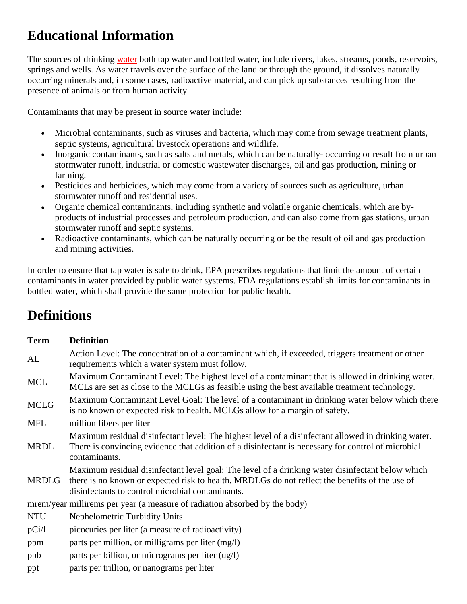### **Educational Information**

The sources of drinking water both tap water and bottled water, include rivers, lakes, streams, ponds, reservoirs, springs and wells. As water travels over the surface of the land or through the ground, it dissolves naturally occurring minerals and, in some cases, radioactive material, and can pick up substances resulting from the presence of animals or from human activity.

Contaminants that may be present in source water include:

- Microbial contaminants, such as viruses and bacteria, which may come from sewage treatment plants, septic systems, agricultural livestock operations and wildlife.
- Inorganic contaminants, such as salts and metals, which can be naturally- occurring or result from urban stormwater runoff, industrial or domestic wastewater discharges, oil and gas production, mining or farming.
- Pesticides and herbicides, which may come from a variety of sources such as agriculture, urban stormwater runoff and residential uses.
- Organic chemical contaminants, including synthetic and volatile organic chemicals, which are byproducts of industrial processes and petroleum production, and can also come from gas stations, urban stormwater runoff and septic systems.
- Radioactive contaminants, which can be naturally occurring or be the result of oil and gas production and mining activities.

In order to ensure that tap water is safe to drink, EPA prescribes regulations that limit the amount of certain contaminants in water provided by public water systems. FDA regulations establish limits for contaminants in bottled water, which shall provide the same protection for public health.

### **Definitions**

| <b>Term</b> | <b>Definition</b>                                                                                                                                                                                                                                      |  |  |  |  |  |
|-------------|--------------------------------------------------------------------------------------------------------------------------------------------------------------------------------------------------------------------------------------------------------|--|--|--|--|--|
| AL          | Action Level: The concentration of a contaminant which, if exceeded, triggers treatment or other<br>requirements which a water system must follow.                                                                                                     |  |  |  |  |  |
| <b>MCL</b>  | Maximum Contaminant Level: The highest level of a contaminant that is allowed in drinking water.<br>MCLs are set as close to the MCLGs as feasible using the best available treatment technology.                                                      |  |  |  |  |  |
| <b>MCLG</b> | Maximum Contaminant Level Goal: The level of a contaminant in drinking water below which there<br>is no known or expected risk to health. MCLGs allow for a margin of safety.                                                                          |  |  |  |  |  |
| MFL         | million fibers per liter                                                                                                                                                                                                                               |  |  |  |  |  |
| <b>MRDL</b> | Maximum residual disinfectant level: The highest level of a disinfectant allowed in drinking water.<br>There is convincing evidence that addition of a disinfectant is necessary for control of microbial<br>contaminants.                             |  |  |  |  |  |
| MRDLG       | Maximum residual disinfectant level goal: The level of a drinking water disinfectant below which<br>there is no known or expected risk to health. MRDLGs do not reflect the benefits of the use of<br>disinfectants to control microbial contaminants. |  |  |  |  |  |
|             | mrem/year millirems per year (a measure of radiation absorbed by the body)                                                                                                                                                                             |  |  |  |  |  |
| <b>NTU</b>  | <b>Nephelometric Turbidity Units</b>                                                                                                                                                                                                                   |  |  |  |  |  |
| pCi/1       | picocuries per liter (a measure of radioactivity)                                                                                                                                                                                                      |  |  |  |  |  |
| ppm         | parts per million, or milligrams per liter (mg/l)                                                                                                                                                                                                      |  |  |  |  |  |
| ppb         | parts per billion, or micrograms per liter (ug/l)                                                                                                                                                                                                      |  |  |  |  |  |
| ppt         | parts per trillion, or nanograms per liter                                                                                                                                                                                                             |  |  |  |  |  |
|             |                                                                                                                                                                                                                                                        |  |  |  |  |  |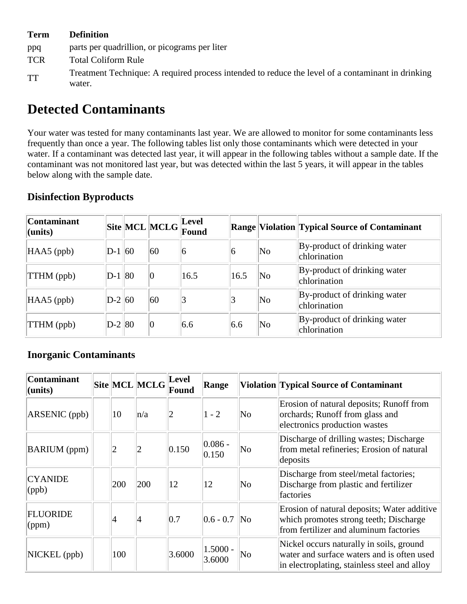#### **Term Definition**

- ppq parts per quadrillion, or picograms per liter
- TCR Total Coliform Rule
- Treatment Technique: A required process intended to reduce the level of a contaminant in drinking water.

### **Detected Contaminants**

Your water was tested for many contaminants last year. We are allowed to monitor for some contaminants less frequently than once a year. The following tables list only those contaminants which were detected in your water. If a contaminant was detected last year, it will appear in the following tables without a sample date. If the contaminant was not monitored last year, but was detected within the last 5 years, it will appear in the tables below along with the sample date.

| <b>Contaminant</b><br>(units) |          | $\ \text{Site}\ \text{MCL}\ \text{MCLG}\ _{\mathbf{C}}^{\text{Level}}.$ | <b>Found</b> |      |                        | <b>Range Violation Typical Source of Contaminant</b> |
|-------------------------------|----------|-------------------------------------------------------------------------|--------------|------|------------------------|------------------------------------------------------|
| $HAAS$ (ppb)                  | $D-1$ 60 | 60                                                                      | $\vert 6$    | 6    | $\overline{\text{No}}$ | By-product of drinking water<br>chlorination         |
| TTHM (ppb)                    | $D-1$ 80 | $ 0\rangle$                                                             | 16.5         | 16.5 | $\overline{\text{No}}$ | By-product of drinking water<br>chlorination         |
| $HAAS$ (ppb)                  | $D-2 60$ | 60                                                                      | 3            |      | $\overline{\text{No}}$ | By-product of drinking water<br>chlorination         |
| TTHM (ppb)                    | $D-2 80$ | $ 0\rangle$                                                             | 6.6          | 6.6  | $\overline{\text{No}}$ | By-product of drinking water<br>chlorination         |

#### **Disinfection Byproducts**

#### **Inorganic Contaminants**

| <b>Contaminant</b><br>$ $ (units)         |                | Site MCL MCLG  | Level<br>Found | Range                |                     | <b>Violation Typical Source of Contaminant</b>                                                                                         |
|-------------------------------------------|----------------|----------------|----------------|----------------------|---------------------|----------------------------------------------------------------------------------------------------------------------------------------|
| $ARSENIC$ (ppb)                           | 10             | $\ln/a$        |                | $1 - 2$              | No                  | Erosion of natural deposits; Runoff from<br>orchards; Runoff from glass and<br>electronics production wastes                           |
| <b>BARIUM</b> (ppm)                       | $\overline{2}$ | $\overline{2}$ | 0.150          | $ 0.086 -$<br>0.150  | No                  | Discharge of drilling wastes; Discharge<br>from metal refineries; Erosion of natural<br>deposits                                       |
| <b>CYANIDE</b><br>$\langle (ppb) \rangle$ | 200            | 200            | 12             | 12                   | No                  | Discharge from steel/metal factories;<br>Discharge from plastic and fertilizer<br>factories                                            |
| <b>FLUORIDE</b><br>$\gamma$ (ppm)         | 14             | 4              | 0.7            | $ 0.6 - 0.7 $        | $\overline{\rm No}$ | Erosion of natural deposits; Water additive<br>which promotes strong teeth; Discharge<br>from fertilizer and aluminum factories        |
| NICKEL (ppb)                              | 100            |                | 3.6000         | $1.5000 -$<br>3.6000 | No                  | Nickel occurs naturally in soils, ground<br>water and surface waters and is often used<br>in electroplating, stainless steel and alloy |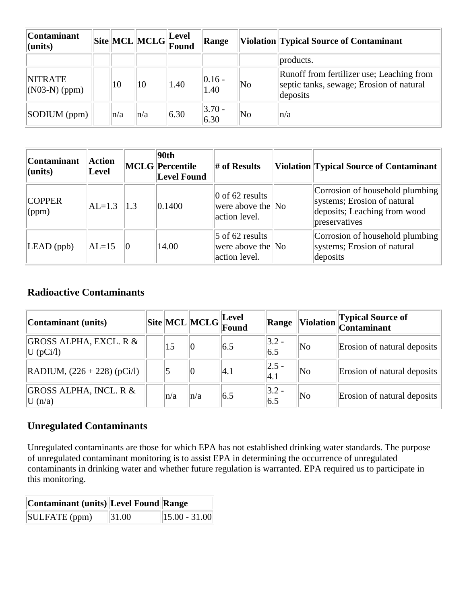| <b>Contaminant</b><br>$ $ (units) |     |         | $\ \text{Site}\ $ MCL $\ \text{MCLG}\ _{\text{Found}}^{\text{Lever}}$ | Range             |    | <b>Violation Typical Source of Contaminant</b>                                                    |
|-----------------------------------|-----|---------|-----------------------------------------------------------------------|-------------------|----|---------------------------------------------------------------------------------------------------|
|                                   |     |         |                                                                       |                   |    | products.                                                                                         |
| <b>NITRATE</b><br>$(N03-N)$ (ppm) | 10  | 10      | 1.40                                                                  | $ 0.16 -$<br>1.40 | No | Runoff from fertilizer use; Leaching from<br>septic tanks, sewage; Erosion of natural<br>deposits |
| SODIUM(ppm)                       | n/a | $\ln/a$ | 6.30                                                                  | $ 3.70 -$<br>6.30 | No | $\ln/a$                                                                                           |

| <b>Contaminant</b><br>$ $ (units) | <b>Action</b><br><b>Level</b> |     | 90th<br><b>MCLG</b> Percentile<br><b>Level Found</b> | $#$ of Results                                          | Violation Typical Source of Contaminant                                                                         |
|-----------------------------------|-------------------------------|-----|------------------------------------------------------|---------------------------------------------------------|-----------------------------------------------------------------------------------------------------------------|
| <b>COPPER</b><br>$\gamma$ (ppm)   | $AL=1.3$                      | 1.3 | 0.1400                                               | 0 of 62 results<br>were above the No<br>action level.   | Corrosion of household plumbing<br>systems; Erosion of natural<br>deposits; Leaching from wood<br>preservatives |
| $LEAD$ (ppb)                      | $AL=15$                       | Ю   | 14.00                                                | $5$ of 62 results<br>were above the No<br>action level. | Corrosion of household plumbing<br>systems; Erosion of natural<br>deposits                                      |

#### **Radioactive Contaminants**

| Contaminant (units)                             |     |         | $\ $ Site $\ $ MCL $\ $ MCLG $\ $ Lever | Range            | <b>Violation</b>    | <b>Typical Source of</b><br>Contaminant |
|-------------------------------------------------|-----|---------|-----------------------------------------|------------------|---------------------|-----------------------------------------|
| <b>GROSS ALPHA, EXCL. R &amp;</b><br> U (pCi/l) | 15  | 0       | 6.5                                     | $ 3.2 -$<br>6.5  | $\overline{\rm No}$ | Erosion of natural deposits             |
| $ $ RADIUM, $(226 + 228)$ (pCi/l)               |     | 0       | 4.1                                     | $ 2.5 -$<br> 4.1 | $\overline{\rm No}$ | Erosion of natural deposits             |
| <b>GROSS ALPHA, INCL. R &amp;</b><br>U(n/a)     | n/a | $\ln/a$ | 6.5                                     | $ 3.2 -$<br>6.5  | $\overline{\rm No}$ | Erosion of natural deposits             |

#### **Unregulated Contaminants**

Unregulated contaminants are those for which EPA has not established drinking water standards. The purpose of unregulated contaminant monitoring is to assist EPA in determining the occurrence of unregulated contaminants in drinking water and whether future regulation is warranted. EPA required us to participate in this monitoring.

| Contaminant (units) Level Found Range |       |                     |
|---------------------------------------|-------|---------------------|
| SULFATE (ppm)                         | 31.00 | $\ 15.00 - 31.00\ $ |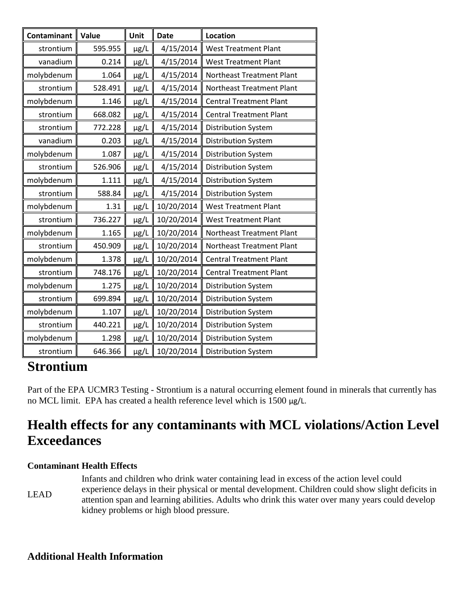| Contaminant | Value   | Unit      | <b>Date</b> | <b>Location</b>                |
|-------------|---------|-----------|-------------|--------------------------------|
| strontium   | 595.955 | µg/L      | 4/15/2014   | <b>West Treatment Plant</b>    |
| vanadium    | 0.214   | µg/L      | 4/15/2014   | <b>West Treatment Plant</b>    |
| molybdenum  | 1.064   | µg/L      | 4/15/2014   | Northeast Treatment Plant      |
| strontium   | 528.491 | µg/L      | 4/15/2014   | Northeast Treatment Plant      |
| molybdenum  | 1.146   | µg/L      | 4/15/2014   | <b>Central Treatment Plant</b> |
| strontium   | 668.082 | µg/L      | 4/15/2014   | <b>Central Treatment Plant</b> |
| strontium   | 772.228 | µg/L      | 4/15/2014   | <b>Distribution System</b>     |
| vanadium    | 0.203   | µg/L      | 4/15/2014   | Distribution System            |
| molybdenum  | 1.087   | µg/L      | 4/15/2014   | <b>Distribution System</b>     |
| strontium   | 526.906 | µg/L      | 4/15/2014   | <b>Distribution System</b>     |
| molybdenum  | 1.111   | µg/L      | 4/15/2014   | Distribution System            |
| strontium   | 588.84  | µg/L      | 4/15/2014   | <b>Distribution System</b>     |
| molybdenum  | 1.31    | µg/L      | 10/20/2014  | <b>West Treatment Plant</b>    |
| strontium   | 736.227 | µg/L      | 10/20/2014  | <b>West Treatment Plant</b>    |
| molybdenum  | 1.165   | µg/L      | 10/20/2014  | Northeast Treatment Plant      |
| strontium   | 450.909 | µg/L      | 10/20/2014  | Northeast Treatment Plant      |
| molybdenum  | 1.378   | µg/L      | 10/20/2014  | <b>Central Treatment Plant</b> |
| strontium   | 748.176 | µg/L      | 10/20/2014  | <b>Central Treatment Plant</b> |
| molybdenum  | 1.275   | µg/L      | 10/20/2014  | <b>Distribution System</b>     |
| strontium   | 699.894 | µg/L      | 10/20/2014  | Distribution System            |
| molybdenum  | 1.107   | $\mu$ g/L | 10/20/2014  | <b>Distribution System</b>     |
| strontium   | 440.221 | $\mu$ g/L | 10/20/2014  | <b>Distribution System</b>     |
| molybdenum  | 1.298   | µg/L      | 10/20/2014  | <b>Distribution System</b>     |
| strontium   | 646.366 | µg/L      | 10/20/2014  | <b>Distribution System</b>     |

#### **Strontium**

Part of the EPA UCMR3 Testing - Strontium is a natural occurring element found in minerals that currently has no MCL limit. EPA has created a health reference level which is 1500 µg/L.

#### **Health effects for any contaminants with MCL violations/Action Level Exceedances**

#### **Contaminant Health Effects**

LEAD Infants and children who drink water containing lead in excess of the action level could experience delays in their physical or mental development. Children could show slight deficits in attention span and learning abilities. Adults who drink this water over many years could develop kidney problems or high blood pressure.

#### **Additional Health Information**